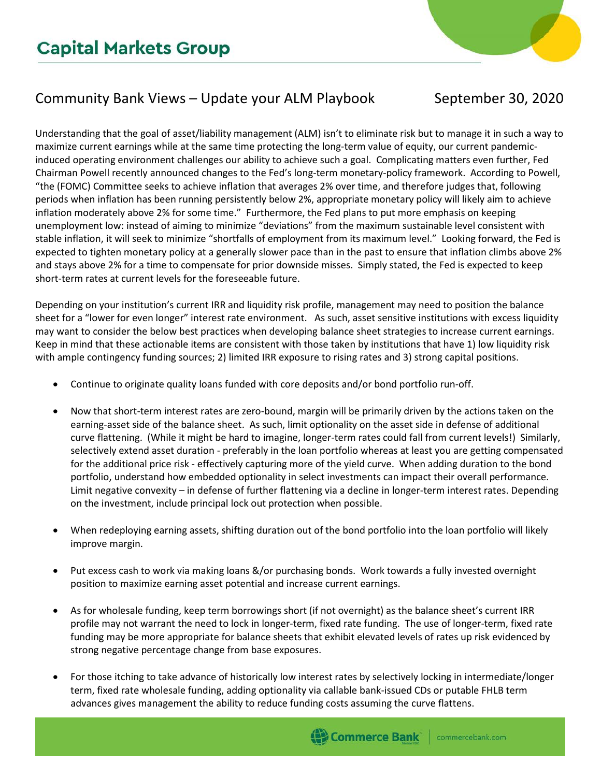## Community Bank Views – Update your ALM Playbook September 30, 2020

Understanding that the goal of asset/liability management (ALM) isn't to eliminate risk but to manage it in such a way to maximize current earnings while at the same time protecting the long-term value of equity, our current pandemicinduced operating environment challenges our ability to achieve such a goal. Complicating matters even further, Fed Chairman Powell recently announced changes to the Fed's long-term monetary-policy framework. According to Powell, "the (FOMC) Committee seeks to achieve inflation that averages 2% over time, and therefore judges that, following periods when inflation has been running persistently below 2%, appropriate monetary policy will likely aim to achieve inflation moderately above 2% for some time." Furthermore, the Fed plans to put more emphasis on keeping unemployment low: instead of aiming to minimize "deviations" from the maximum sustainable level consistent with stable inflation, it will seek to minimize "shortfalls of employment from its maximum level." Looking forward, the Fed is expected to tighten monetary policy at a generally slower pace than in the past to ensure that inflation climbs above 2% and stays above 2% for a time to compensate for prior downside misses. Simply stated, the Fed is expected to keep short-term rates at current levels for the foreseeable future.

Depending on your institution's current IRR and liquidity risk profile, management may need to position the balance sheet for a "lower for even longer" interest rate environment. As such, asset sensitive institutions with excess liquidity may want to consider the below best practices when developing balance sheet strategies to increase current earnings. Keep in mind that these actionable items are consistent with those taken by institutions that have 1) low liquidity risk with ample contingency funding sources; 2) limited IRR exposure to rising rates and 3) strong capital positions.

- Continue to originate quality loans funded with core deposits and/or bond portfolio run-off.
- Now that short-term interest rates are zero-bound, margin will be primarily driven by the actions taken on the earning-asset side of the balance sheet. As such, limit optionality on the asset side in defense of additional curve flattening. (While it might be hard to imagine, longer-term rates could fall from current levels!) Similarly, selectively extend asset duration - preferably in the loan portfolio whereas at least you are getting compensated for the additional price risk - effectively capturing more of the yield curve. When adding duration to the bond portfolio, understand how embedded optionality in select investments can impact their overall performance. Limit negative convexity – in defense of further flattening via a decline in longer-term interest rates. Depending on the investment, include principal lock out protection when possible.
- When redeploying earning assets, shifting duration out of the bond portfolio into the loan portfolio will likely improve margin.
- Put excess cash to work via making loans &/or purchasing bonds. Work towards a fully invested overnight position to maximize earning asset potential and increase current earnings.
- As for wholesale funding, keep term borrowings short (if not overnight) as the balance sheet's current IRR profile may not warrant the need to lock in longer-term, fixed rate funding. The use of longer-term, fixed rate funding may be more appropriate for balance sheets that exhibit elevated levels of rates up risk evidenced by strong negative percentage change from base exposures.
- For those itching to take advance of historically low interest rates by selectively locking in intermediate/longer term, fixed rate wholesale funding, adding optionality via callable bank-issued CDs or putable FHLB term advances gives management the ability to reduce funding costs assuming the curve flattens.